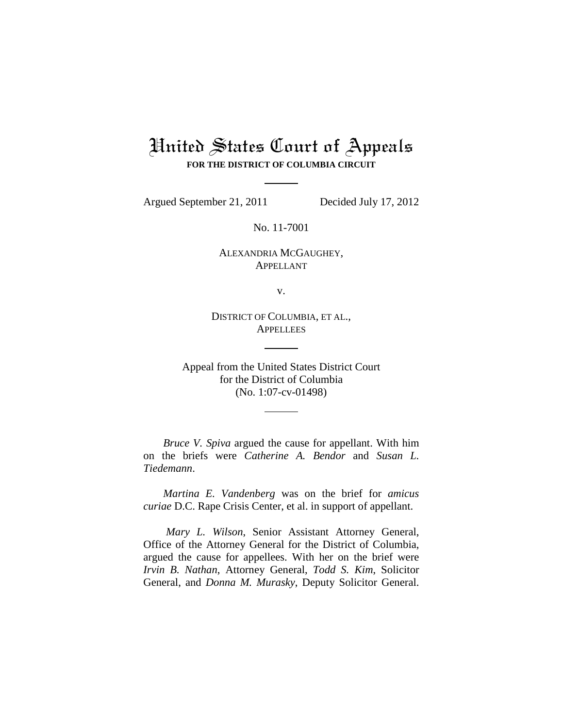## United States Court of Appeals **FOR THE DISTRICT OF COLUMBIA CIRCUIT**

Argued September 21, 2011 Decided July 17, 2012

No. 11-7001

ALEXANDRIA MCGAUGHEY, APPELLANT

v.

DISTRICT OF COLUMBIA, ET AL., **APPELLEES** 

Appeal from the United States District Court for the District of Columbia (No. 1:07-cv-01498)

*Bruce V. Spiva* argued the cause for appellant. With him on the briefs were *Catherine A. Bendor* and *Susan L. Tiedemann*.

*Martina E. Vandenberg* was on the brief for *amicus curiae* D.C. Rape Crisis Center, et al. in support of appellant.

*Mary L. Wilson*, Senior Assistant Attorney General, Office of the Attorney General for the District of Columbia, argued the cause for appellees. With her on the brief were *Irvin B. Nathan*, Attorney General, *Todd S. Kim*, Solicitor General, and *Donna M. Murasky*, Deputy Solicitor General.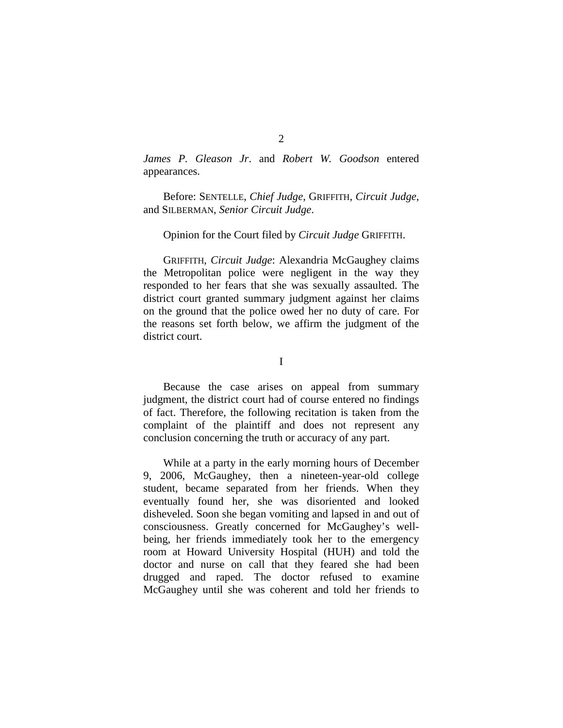*James P. Gleason Jr*. and *Robert W. Goodson* entered appearances.

Before: SENTELLE, *Chief Judge*, GRIFFITH, *Circuit Judge*, and SILBERMAN, *Senior Circuit Judge*.

## Opinion for the Court filed by *Circuit Judge* GRIFFITH.

GRIFFITH, *Circuit Judge*: Alexandria McGaughey claims the Metropolitan police were negligent in the way they responded to her fears that she was sexually assaulted. The district court granted summary judgment against her claims on the ground that the police owed her no duty of care. For the reasons set forth below, we affirm the judgment of the district court.

I

Because the case arises on appeal from summary judgment, the district court had of course entered no findings of fact. Therefore, the following recitation is taken from the complaint of the plaintiff and does not represent any conclusion concerning the truth or accuracy of any part.

While at a party in the early morning hours of December 9, 2006, McGaughey, then a nineteen-year-old college student, became separated from her friends. When they eventually found her, she was disoriented and looked disheveled. Soon she began vomiting and lapsed in and out of consciousness. Greatly concerned for McGaughey's wellbeing, her friends immediately took her to the emergency room at Howard University Hospital (HUH) and told the doctor and nurse on call that they feared she had been drugged and raped. The doctor refused to examine McGaughey until she was coherent and told her friends to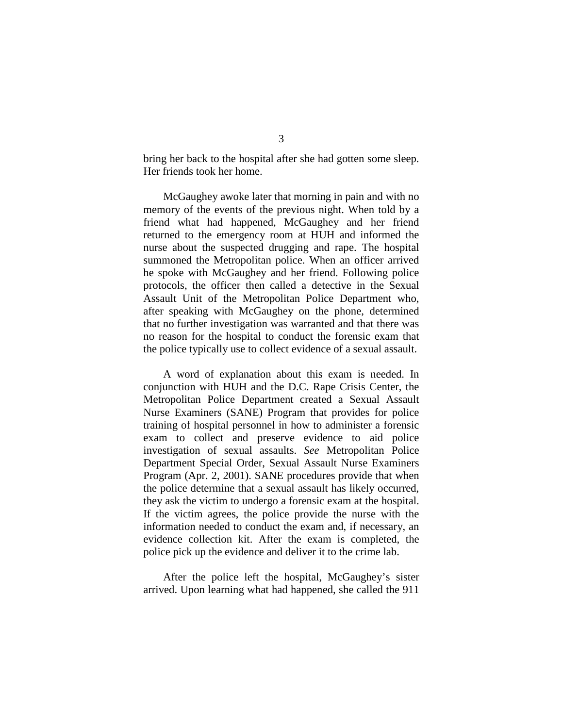bring her back to the hospital after she had gotten some sleep. Her friends took her home.

McGaughey awoke later that morning in pain and with no memory of the events of the previous night. When told by a friend what had happened, McGaughey and her friend returned to the emergency room at HUH and informed the nurse about the suspected drugging and rape. The hospital summoned the Metropolitan police. When an officer arrived he spoke with McGaughey and her friend. Following police protocols, the officer then called a detective in the Sexual Assault Unit of the Metropolitan Police Department who, after speaking with McGaughey on the phone, determined that no further investigation was warranted and that there was no reason for the hospital to conduct the forensic exam that the police typically use to collect evidence of a sexual assault.

A word of explanation about this exam is needed. In conjunction with HUH and the D.C. Rape Crisis Center, the Metropolitan Police Department created a Sexual Assault Nurse Examiners (SANE) Program that provides for police training of hospital personnel in how to administer a forensic exam to collect and preserve evidence to aid police investigation of sexual assaults. *See* Metropolitan Police Department Special Order, Sexual Assault Nurse Examiners Program (Apr. 2, 2001). SANE procedures provide that when the police determine that a sexual assault has likely occurred, they ask the victim to undergo a forensic exam at the hospital. If the victim agrees, the police provide the nurse with the information needed to conduct the exam and, if necessary, an evidence collection kit. After the exam is completed, the police pick up the evidence and deliver it to the crime lab.

After the police left the hospital, McGaughey's sister arrived. Upon learning what had happened, she called the 911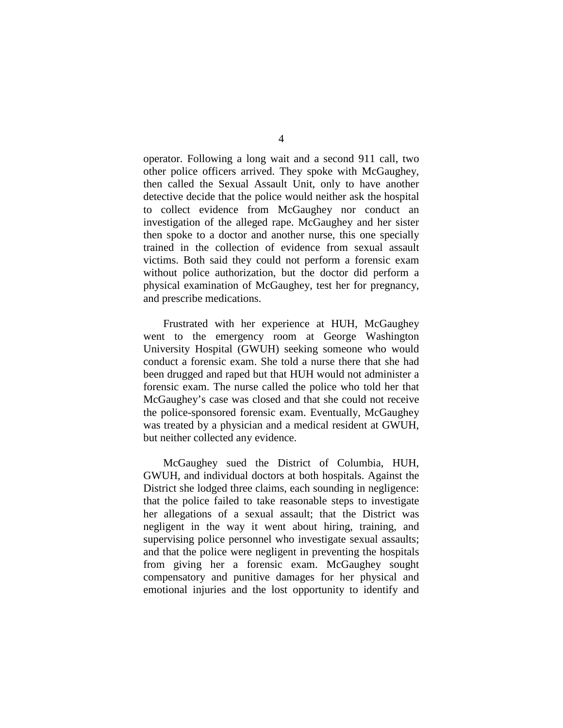operator. Following a long wait and a second 911 call, two other police officers arrived. They spoke with McGaughey, then called the Sexual Assault Unit, only to have another detective decide that the police would neither ask the hospital to collect evidence from McGaughey nor conduct an investigation of the alleged rape. McGaughey and her sister then spoke to a doctor and another nurse, this one specially trained in the collection of evidence from sexual assault victims. Both said they could not perform a forensic exam without police authorization, but the doctor did perform a physical examination of McGaughey, test her for pregnancy, and prescribe medications.

Frustrated with her experience at HUH, McGaughey went to the emergency room at George Washington University Hospital (GWUH) seeking someone who would conduct a forensic exam. She told a nurse there that she had been drugged and raped but that HUH would not administer a forensic exam. The nurse called the police who told her that McGaughey's case was closed and that she could not receive the police-sponsored forensic exam. Eventually, McGaughey was treated by a physician and a medical resident at GWUH, but neither collected any evidence.

McGaughey sued the District of Columbia, HUH, GWUH, and individual doctors at both hospitals. Against the District she lodged three claims, each sounding in negligence: that the police failed to take reasonable steps to investigate her allegations of a sexual assault; that the District was negligent in the way it went about hiring, training, and supervising police personnel who investigate sexual assaults; and that the police were negligent in preventing the hospitals from giving her a forensic exam. McGaughey sought compensatory and punitive damages for her physical and emotional injuries and the lost opportunity to identify and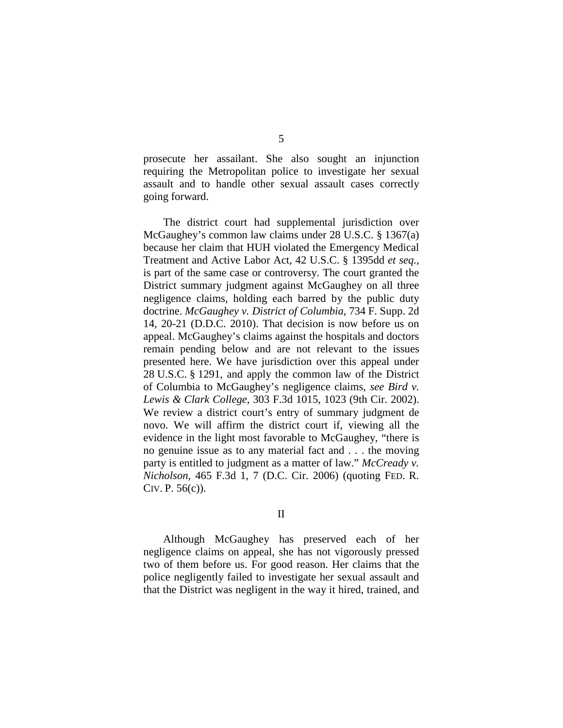prosecute her assailant. She also sought an injunction requiring the Metropolitan police to investigate her sexual assault and to handle other sexual assault cases correctly going forward.

The district court had supplemental jurisdiction over McGaughey's common law claims under 28 U.S.C. § 1367(a) because her claim that HUH violated the Emergency Medical Treatment and Active Labor Act, 42 U.S.C. § 1395dd *et seq.*, is part of the same case or controversy. The court granted the District summary judgment against McGaughey on all three negligence claims, holding each barred by the public duty doctrine. *McGaughey v. District of Columbia*, 734 F. Supp. 2d 14, 20-21 (D.D.C. 2010). That decision is now before us on appeal. McGaughey's claims against the hospitals and doctors remain pending below and are not relevant to the issues presented here. We have jurisdiction over this appeal under 28 U.S.C. § 1291, and apply the common law of the District of Columbia to McGaughey's negligence claims, *see Bird v. Lewis & Clark College*, 303 F.3d 1015, 1023 (9th Cir. 2002). We review a district court's entry of summary judgment de novo. We will affirm the district court if, viewing all the evidence in the light most favorable to McGaughey, "there is no genuine issue as to any material fact and . . . the moving party is entitled to judgment as a matter of law." *McCready v. Nicholson*, 465 F.3d 1, 7 (D.C. Cir. 2006) (quoting FED. R. CIV. P. 56(c)).

## II

Although McGaughey has preserved each of her negligence claims on appeal, she has not vigorously pressed two of them before us. For good reason. Her claims that the police negligently failed to investigate her sexual assault and that the District was negligent in the way it hired, trained, and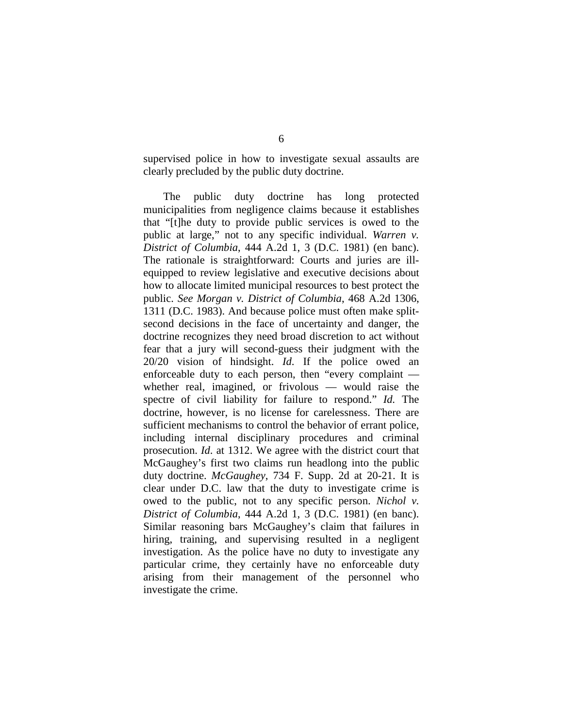supervised police in how to investigate sexual assaults are clearly precluded by the public duty doctrine.

The public duty doctrine has long protected municipalities from negligence claims because it establishes that "[t]he duty to provide public services is owed to the public at large," not to any specific individual. *Warren v. District of Columbia*, 444 A.2d 1, 3 (D.C. 1981) (en banc). The rationale is straightforward: Courts and juries are illequipped to review legislative and executive decisions about how to allocate limited municipal resources to best protect the public. *See Morgan v. District of Columbia*, 468 A.2d 1306, 1311 (D.C. 1983). And because police must often make splitsecond decisions in the face of uncertainty and danger, the doctrine recognizes they need broad discretion to act without fear that a jury will second-guess their judgment with the 20/20 vision of hindsight. *Id*. If the police owed an enforceable duty to each person, then "every complaint whether real, imagined, or frivolous — would raise the spectre of civil liability for failure to respond." *Id.* The doctrine, however, is no license for carelessness. There are sufficient mechanisms to control the behavior of errant police, including internal disciplinary procedures and criminal prosecution. *Id*. at 1312. We agree with the district court that McGaughey's first two claims run headlong into the public duty doctrine. *McGaughey*, 734 F. Supp. 2d at 20-21. It is clear under D.C. law that the duty to investigate crime is owed to the public, not to any specific person. *Nichol v. District of Columbia*, 444 A.2d 1, 3 (D.C. 1981) (en banc). Similar reasoning bars McGaughey's claim that failures in hiring, training, and supervising resulted in a negligent investigation. As the police have no duty to investigate any particular crime, they certainly have no enforceable duty arising from their management of the personnel who investigate the crime.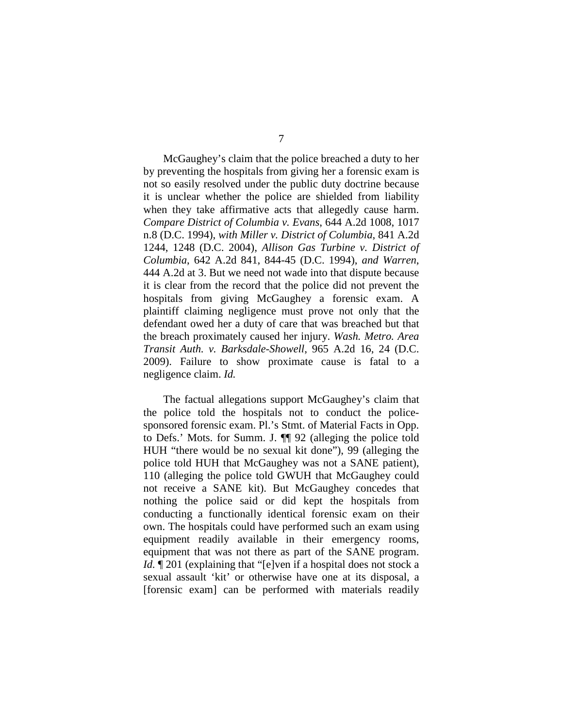McGaughey's claim that the police breached a duty to her by preventing the hospitals from giving her a forensic exam is not so easily resolved under the public duty doctrine because it is unclear whether the police are shielded from liability when they take affirmative acts that allegedly cause harm. *Compare District of Columbia v. Evans*, 644 A.2d 1008, 1017 n.8 (D.C. 1994), *with Miller v. District of Columbia*, 841 A.2d 1244, 1248 (D.C. 2004), *Allison Gas Turbine v. District of Columbia*, 642 A.2d 841, 844-45 (D.C. 1994), *and Warren*, 444 A.2d at 3. But we need not wade into that dispute because it is clear from the record that the police did not prevent the hospitals from giving McGaughey a forensic exam. A plaintiff claiming negligence must prove not only that the defendant owed her a duty of care that was breached but that the breach proximately caused her injury. *Wash. Metro. Area Transit Auth. v. Barksdale-Showell*, 965 A.2d 16, 24 (D.C. 2009). Failure to show proximate cause is fatal to a negligence claim. *Id.*

The factual allegations support McGaughey's claim that the police told the hospitals not to conduct the policesponsored forensic exam. Pl.'s Stmt. of Material Facts in Opp. to Defs.' Mots. for Summ. J. ¶¶ 92 (alleging the police told HUH "there would be no sexual kit done"), 99 (alleging the police told HUH that McGaughey was not a SANE patient), 110 (alleging the police told GWUH that McGaughey could not receive a SANE kit). But McGaughey concedes that nothing the police said or did kept the hospitals from conducting a functionally identical forensic exam on their own. The hospitals could have performed such an exam using equipment readily available in their emergency rooms, equipment that was not there as part of the SANE program. *Id.* 1201 (explaining that "[e]ven if a hospital does not stock a sexual assault 'kit' or otherwise have one at its disposal, a [forensic exam] can be performed with materials readily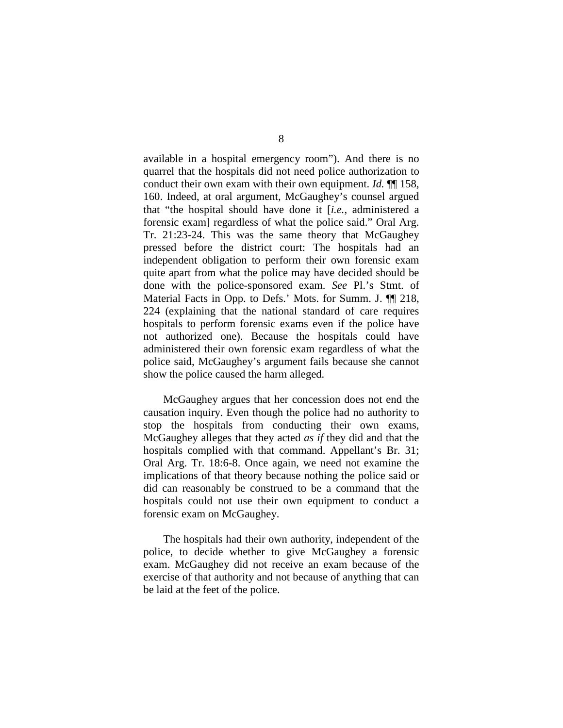available in a hospital emergency room"). And there is no quarrel that the hospitals did not need police authorization to conduct their own exam with their own equipment. *Id.* ¶¶ 158, 160. Indeed, at oral argument, McGaughey's counsel argued that "the hospital should have done it [*i.e.*, administered a forensic exam] regardless of what the police said." Oral Arg. Tr. 21:23-24. This was the same theory that McGaughey pressed before the district court: The hospitals had an independent obligation to perform their own forensic exam quite apart from what the police may have decided should be done with the police-sponsored exam. *See* Pl.'s Stmt. of Material Facts in Opp. to Defs.' Mots. for Summ. J. ¶¶ 218, 224 (explaining that the national standard of care requires hospitals to perform forensic exams even if the police have not authorized one). Because the hospitals could have administered their own forensic exam regardless of what the police said, McGaughey's argument fails because she cannot show the police caused the harm alleged.

McGaughey argues that her concession does not end the causation inquiry. Even though the police had no authority to stop the hospitals from conducting their own exams, McGaughey alleges that they acted *as if* they did and that the hospitals complied with that command. Appellant's Br. 31; Oral Arg. Tr. 18:6-8. Once again, we need not examine the implications of that theory because nothing the police said or did can reasonably be construed to be a command that the hospitals could not use their own equipment to conduct a forensic exam on McGaughey.

The hospitals had their own authority, independent of the police, to decide whether to give McGaughey a forensic exam. McGaughey did not receive an exam because of the exercise of that authority and not because of anything that can be laid at the feet of the police.